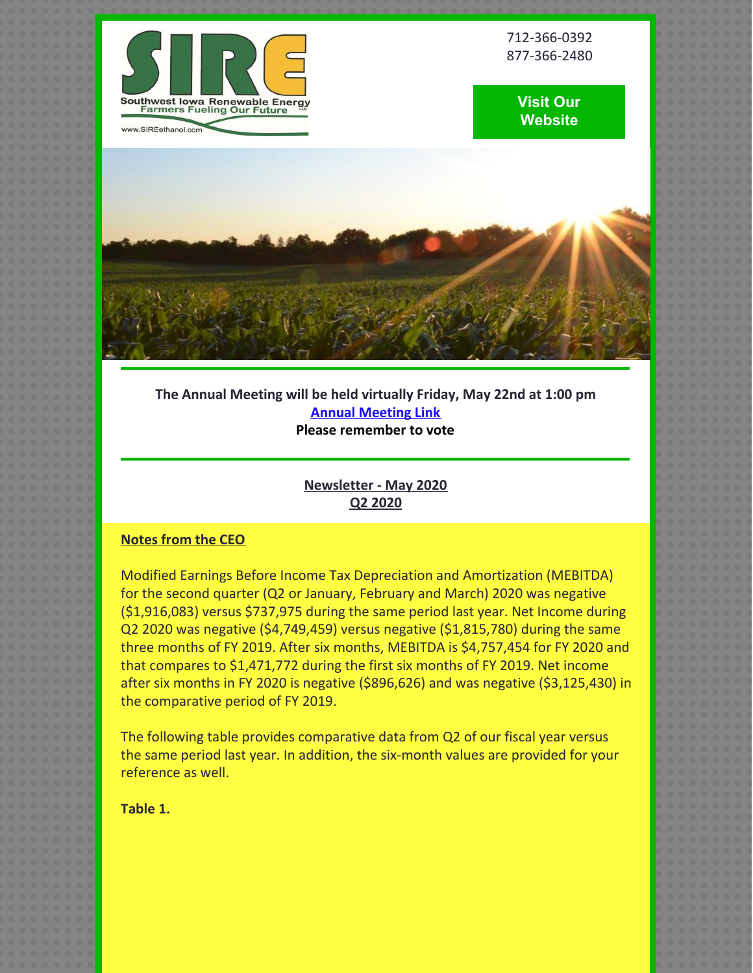

712-366-0392 877-366-2480





**The Annual Meeting will be held virtually Friday, May 22nd at 1:00 pm Annual [Meeting](http://www.sireethanol.com) Link Please remember to vote**

# **Newsletter - May 2020 Q2 2020**

## **Notes from the CEO**

Modified Earnings Before Income Tax Depreciation and Amortization (MEBITDA) for the second quarter (Q2 or January, February and March) 2020 was negative (\$1,916,083) versus \$737,975 during the same period last year. Net Income during Q2 2020 was negative (\$4,749,459) versus negative (\$1,815,780) during the same three months of FY 2019. After six months, MEBITDA is \$4,757,454 for FY 2020 and that compares to \$1,471,772 during the first six months of FY 2019. Net income after six months in FY 2020 is negative (\$896,626) and was negative (\$3,125,430) in the comparative period of FY 2019.

The following table provides comparative data from Q2 of our fiscal year versus the same period last year. In addition, the six-month values are provided for your reference as well.

**Table 1.**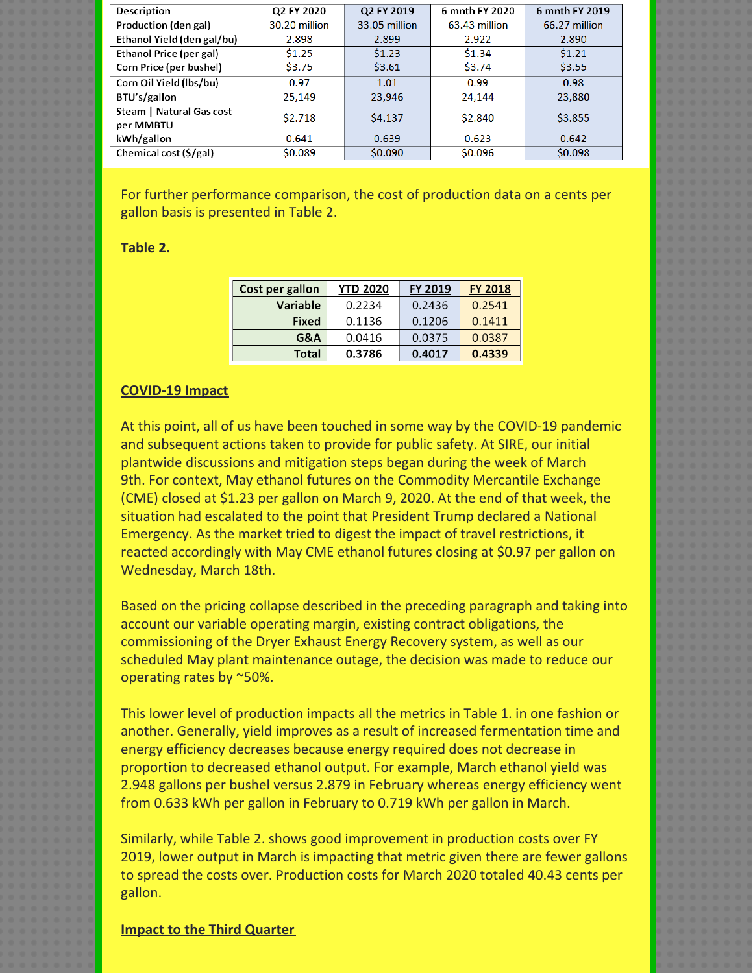| Description                           | Q2 FY 2020    | Q2 FY 2019    | 6 mnth FY 2020 | 6 mnth FY 2019 |
|---------------------------------------|---------------|---------------|----------------|----------------|
| Production (den gal)                  | 30.20 million | 33.05 million | 63.43 million  | 66.27 million  |
| Ethanol Yield (den gal/bu)            | 2.898         | 2.899         | 2.922          | 2.890          |
| Ethanol Price (per gal)               | \$1.25        | \$1.23        | \$1.34         | \$1.21         |
| Corn Price (per bushel)               | \$3.75        | \$3.61        | \$3.74         | \$3.55         |
| Corn Oil Yield (lbs/bu)               | 0.97          | 1.01          | 0.99           | 0.98           |
| BTU's/gallon                          | 25,149        | 23,946        | 24,144         | 23,880         |
| Steam   Natural Gas cost<br>per MMBTU | \$2,718       | \$4.137       | \$2,840        | \$3,855        |
| kWh/gallon                            | 0.641         | 0.639         | 0.623          | 0.642          |
| Chemical cost (\$/gal)                | \$0.089       | \$0.090       | \$0.096        | \$0.098        |

For further performance comparison, the cost of production data on a cents per gallon basis is presented in Table 2.

## **Table 2.**

| Cost per gallon | <b>YTD 2020</b> | <b>FY 2019</b> | <b>FY 2018</b> |
|-----------------|-----------------|----------------|----------------|
| <b>Variable</b> | 0.2234          | 0.2436         | 0.2541         |
| Fixed           | 0.1136          | 0.1206         | 0.1411         |
| G&A             | 0.0416          | 0.0375         | 0.0387         |
| Total           | 0.3786          | 0.4017         | 0.4339         |

## **COVID-19 Impact**

At this point, all of us have been touched in some way by the COVID-19 pandemic and subsequent actions taken to provide for public safety. At SIRE, our initial plantwide discussions and mitigation steps began during the week of March 9th. For context, May ethanol futures on the Commodity Mercantile Exchange (CME) closed at \$1.23 per gallon on March 9, 2020. At the end of that week, the situation had escalated to the point that President Trump declared a National Emergency. As the market tried to digest the impact of travel restrictions, it reacted accordingly with May CME ethanol futures closing at \$0.97 per gallon on Wednesday, March 18th.

Based on the pricing collapse described in the preceding paragraph and taking into account our variable operating margin, existing contract obligations, the commissioning of the Dryer Exhaust Energy Recovery system, as well as our scheduled May plant maintenance outage, the decision was made to reduce our operating rates by ~50%.

This lower level of production impacts all the metrics in Table 1. in one fashion or another. Generally, yield improves as a result of increased fermentation time and energy efficiency decreases because energy required does not decrease in proportion to decreased ethanol output. For example, March ethanol yield was 2.948 gallons per bushel versus 2.879 in February whereas energy efficiency went from 0.633 kWh per gallon in February to 0.719 kWh per gallon in March.

Similarly, while Table 2. shows good improvement in production costs over FY 2019, lower output in March is impacting that metric given there are fewer gallons to spread the costs over. Production costs for March 2020 totaled 40.43 cents per gallon.

#### **Impact to the Third Quarter**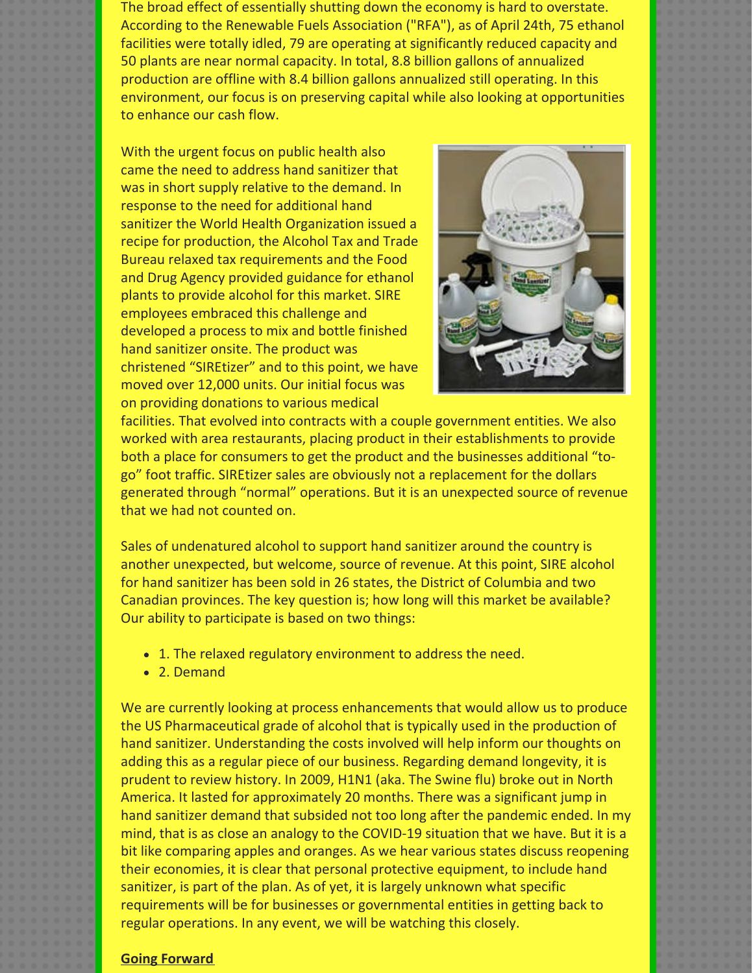The broad effect of essentially shutting down the economy is hard to overstate. According to the Renewable Fuels Association ("RFA"), as of April 24th, 75 ethanol facilities were totally idled, 79 are operating at significantly reduced capacity and 50 plants are near normal capacity. In total, 8.8 billion gallons of annualized production are offline with 8.4 billion gallons annualized still operating. In this environment, our focus is on preserving capital while also looking at opportunities to enhance our cash flow.

With the urgent focus on public health also came the need to address hand sanitizer that was in short supply relative to the demand. In response to the need for additional hand sanitizer the World Health Organization issued a recipe for production, the Alcohol Tax and Trade Bureau relaxed tax requirements and the Food and Drug Agency provided guidance for ethanol plants to provide alcohol for this market. SIRE employees embraced this challenge and developed a process to mix and bottle finished hand sanitizer onsite. The product was christened "SIREtizer" and to this point, we have moved over 12,000 units. Our initial focus was on providing donations to various medical



facilities. That evolved into contracts with a couple government entities. We also worked with area restaurants, placing product in their establishments to provide both a place for consumers to get the product and the businesses additional "togo" foot traffic. SIREtizer sales are obviously not a replacement for the dollars generated through "normal" operations. But it is an unexpected source of revenue that we had not counted on.

Sales of undenatured alcohol to support hand sanitizer around the country is another unexpected, but welcome, source of revenue. At this point, SIRE alcohol for hand sanitizer has been sold in 26 states, the District of Columbia and two Canadian provinces. The key question is; how long will this market be available? Our ability to participate is based on two things:

- 1. The relaxed regulatory environment to address the need.
- 2. Demand

We are currently looking at process enhancements that would allow us to produce the US Pharmaceutical grade of alcohol that is typically used in the production of hand sanitizer. Understanding the costs involved will help inform our thoughts on adding this as a regular piece of our business. Regarding demand longevity, it is prudent to review history. In 2009, H1N1 (aka. The Swine flu) broke out in North America. It lasted for approximately 20 months. There was a significant jump in hand sanitizer demand that subsided not too long after the pandemic ended. In my mind, that is as close an analogy to the COVID-19 situation that we have. But it is a bit like comparing apples and oranges. As we hear various states discuss reopening their economies, it is clear that personal protective equipment, to include hand sanitizer, is part of the plan. As of yet, it is largely unknown what specific requirements will be for businesses or governmental entities in getting back to regular operations. In any event, we will be watching this closely.

#### **Going Forward**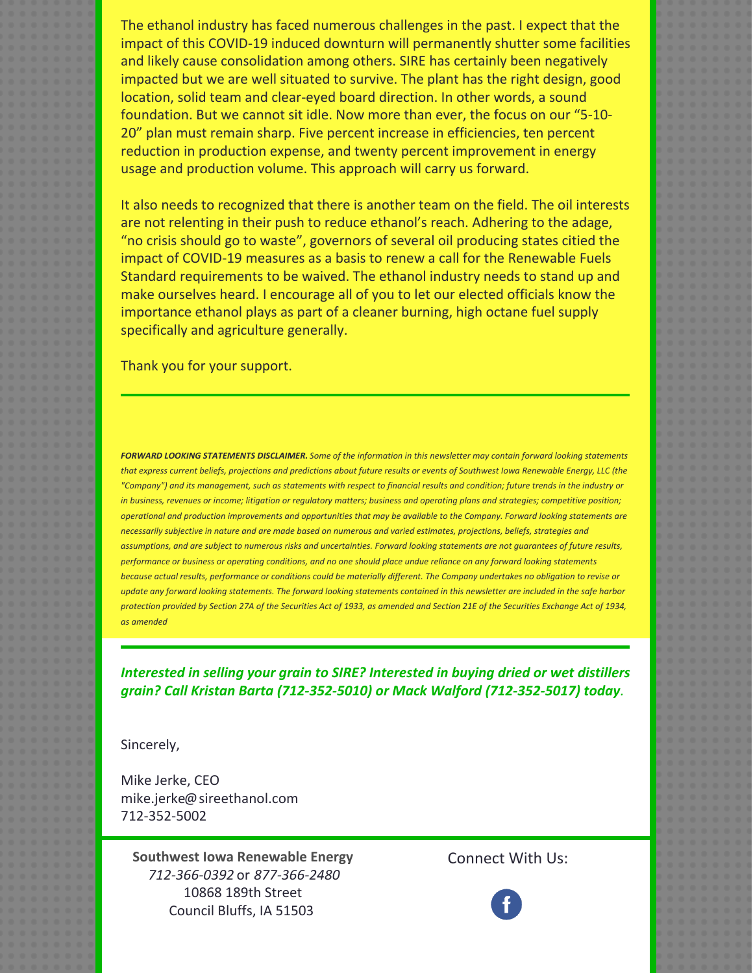The ethanol industry has faced numerous challenges in the past. I expect that the impact of this COVID-19 induced downturn will permanently shutter some facilities and likely cause consolidation among others. SIRE has certainly been negatively impacted but we are well situated to survive. The plant has the right design, good location, solid team and clear-eyed board direction. In other words, a sound foundation. But we cannot sit idle. Now more than ever, the focus on our "5-10- 20" plan must remain sharp. Five percent increase in efficiencies, ten percent reduction in production expense, and twenty percent improvement in energy usage and production volume. This approach will carry us forward.

It also needs to recognized that there is another team on the field. The oil interests are not relenting in their push to reduce ethanol's reach. Adhering to the adage, "no crisis should go to waste", governors of several oil producing states citied the impact of COVID-19 measures as a basis to renew a call for the Renewable Fuels Standard requirements to be waived. The ethanol industry needs to stand up and make ourselves heard. I encourage all of you to let our elected officials know the importance ethanol plays as part of a cleaner burning, high octane fuel supply specifically and agriculture generally.

Thank you for your support.

FORWARD LOOKING STATEMENTS DISCLAIMER. Some of the information in this newsletter may contain forward looking statements that express current beliefs, projections and predictions about future results or events of Southwest Iowa Renewable Energy, LLC (the "Company") and its management, such as statements with respect to financial results and condition; future trends in the industry or in business, revenues or income; litigation or regulatory matters; business and operating plans and strategies; competitive position; operational and production improvements and opportunities that may be available to the Company. Forward looking statements are necessarily subjective in nature and are made based on numerous and varied estimates, projections, beliefs, strategies and assumptions, and are subject to numerous risks and uncertainties. Forward looking statements are not guarantees of future results, performance or business or operating conditions, and no one should place undue reliance on any forward looking statements because actual results, performance or conditions could be materially different. The Company undertakes no obligation to revise or update any forward looking statements. The forward looking statements contained in this newsletter are included in the safe harbor protection provided by Section 27A of the Securities Act of 1933, as amended and Section 21E of the Securities Exchange Act of 1934, *as amended*

*Interested in selling your grain to SIRE? Interested in buying dried or wet distillers grain? Call Kristan Barta (712-352-5010) or Mack Walford (712-352-5017) today.*

Sincerely,

Mike Jerke, CEO mike.jerke@sireethanol.com 712-352-5002

**Southwest Iowa Renewable Energy** *712-366-0392* or *877-366-2480* 10868 189th Street Council Bluffs, IA 51503

Connect With Us: